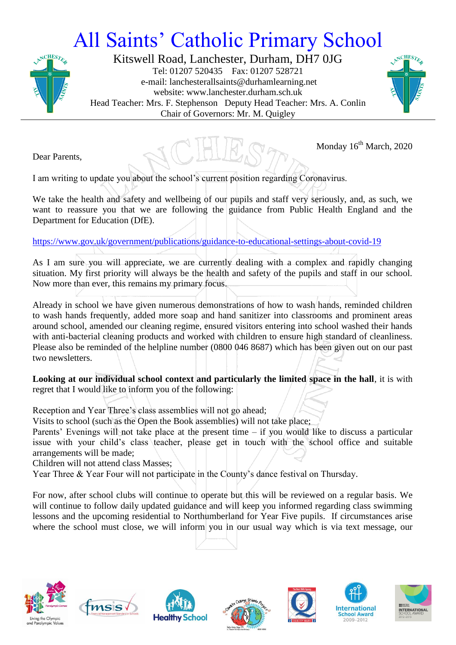## All Saints' Catholic Primary School



Kitswell Road, Lanchester, Durham, DH7 0JG Tel: 01207 520435 Fax: 01207 528721 e-mail: lanchesterallsaints@durhamlearning.net website: www.lanchester.durham.sch.uk Head Teacher: Mrs. F. Stephenson Deputy Head Teacher: Mrs. A. Conlin Chair of Governors: Mr. M. Quigley



Dear Parents,

Monday 16<sup>th</sup> March, 2020

I am writing to update you about the school's current position regarding Coronavirus.

We take the health and safety and wellbeing of our pupils and staff very seriously, and, as such, we want to reassure you that we are following the guidance from Public Health England and the Department for Education (DfE).

<https://www.gov.uk/government/publications/guidance-to-educational-settings-about-covid-19>

As I am sure you will appreciate, we are currently dealing with a complex and rapidly changing situation. My first priority will always be the health and safety of the pupils and staff in our school. Now more than ever, this remains my primary focus.

Already in school we have given numerous demonstrations of how to wash hands, reminded children to wash hands frequently, added more soap and hand sanitizer into classrooms and prominent areas around school, amended our cleaning regime, ensured visitors entering into school washed their hands with anti-bacterial cleaning products and worked with children to ensure high standard of cleanliness. Please also be reminded of the helpline number (0800 046 8687) which has been given out on our past two newsletters.

**Looking at our individual school context and particularly the limited space in the hall**, it is with regret that I would like to inform you of the following:

Reception and Year Three's class assemblies will not go ahead;

Visits to school (such as the Open the Book assemblies) will not take place;

Parents' Evenings will not take place at the present time – if you would like to discuss a particular issue with your child's class teacher, please get in touch with the school office and suitable arrangements will be made;

Children will not attend class Masses;

Year Three & Year Four will not participate in the County's dance festival on Thursday.

For now, after school clubs will continue to operate but this will be reviewed on a regular basis. We will continue to follow daily updated guidance and will keep you informed regarding class swimming lessons and the upcoming residential to Northumberland for Year Five pupils. If circumstances arise where the school must close, we will inform you in our usual way which is via text message, our













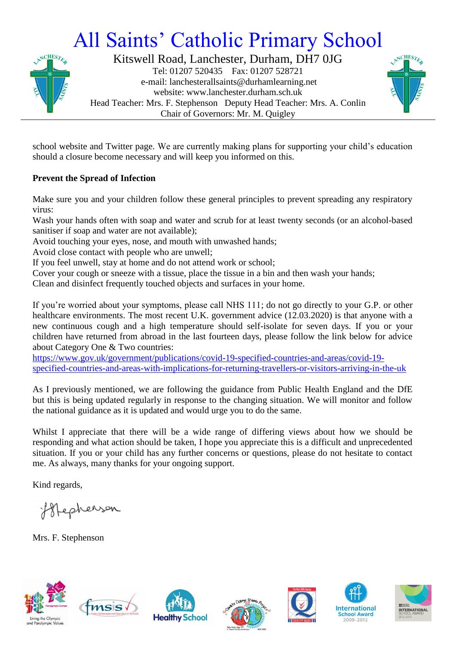## All Saints' Catholic Primary School



Kitswell Road, Lanchester, Durham, DH7 0JG Tel: 01207 520435 Fax: 01207 528721 e-mail: lanchesterallsaints@durhamlearning.net website: www.lanchester.durham.sch.uk Head Teacher: Mrs. F. Stephenson Deputy Head Teacher: Mrs. A. Conlin Chair of Governors: Mr. M. Quigley



school website and Twitter page. We are currently making plans for supporting your child's education should a closure become necessary and will keep you informed on this.

## **Prevent the Spread of Infection**

Make sure you and your children follow these general principles to prevent spreading any respiratory virus:

Wash your hands often with soap and water and scrub for at least twenty seconds (or an alcohol-based sanitiser if soap and water are not available);

Avoid touching your eyes, nose, and mouth with unwashed hands;

Avoid close contact with people who are unwell;

If you feel unwell, stay at home and do not attend work or school;

Cover your cough or sneeze with a tissue, place the tissue in a bin and then wash your hands;

Clean and disinfect frequently touched objects and surfaces in your home.

If you're worried about your symptoms, please call NHS 111; do not go directly to your G.P. or other healthcare environments. The most recent U.K. government advice (12.03.2020) is that anyone with a new continuous cough and a high temperature should self-isolate for seven days. If you or your children have returned from abroad in the last fourteen days, please follow the link below for advice about Category One & Two countries:

[https://www.gov.uk/government/publications/covid-19-specified-countries-and-areas/covid-19](https://www.gov.uk/government/publications/covid-19-specified-countries-and-areas/covid-19-specified-countries-and-areas-with-implications-for-returning-travellers-or-visitors-arriving-in-the-uk) [specified-countries-and-areas-with-implications-for-returning-travellers-or-visitors-arriving-in-the-uk](https://www.gov.uk/government/publications/covid-19-specified-countries-and-areas/covid-19-specified-countries-and-areas-with-implications-for-returning-travellers-or-visitors-arriving-in-the-uk)

As I previously mentioned, we are following the guidance from Public Health England and the DfE but this is being updated regularly in response to the changing situation. We will monitor and follow the national guidance as it is updated and would urge you to do the same.

Whilst I appreciate that there will be a wide range of differing views about how we should be responding and what action should be taken, I hope you appreciate this is a difficult and unprecedented situation. If you or your child has any further concerns or questions, please do not hesitate to contact me. As always, many thanks for your ongoing support.

Kind regards,

Hepherson

Mrs. F. Stephenson